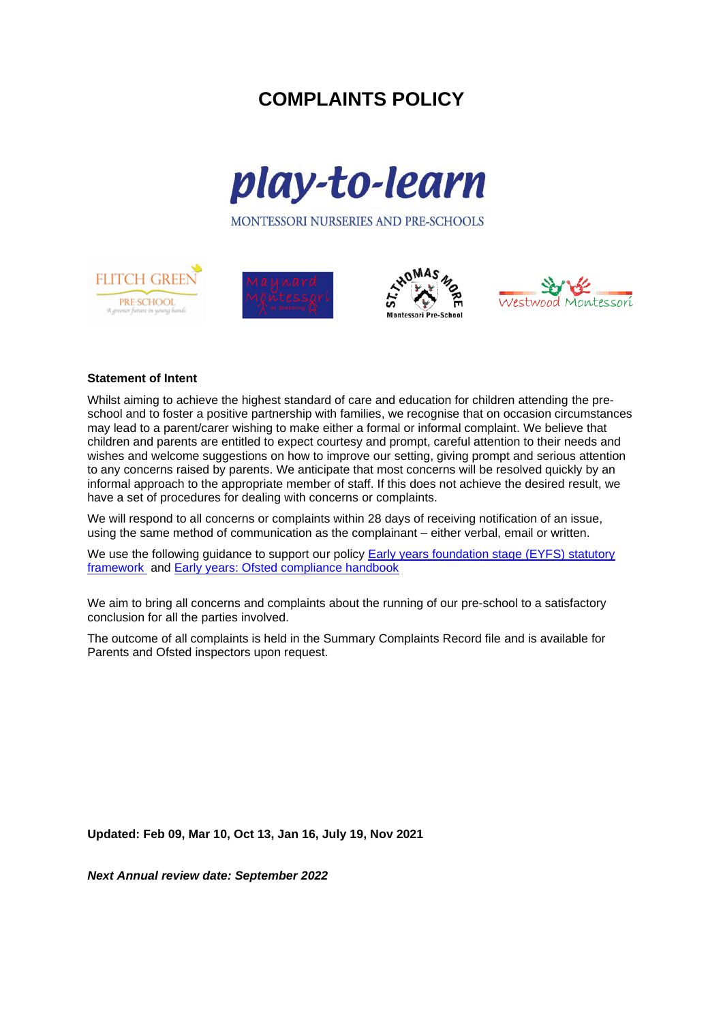# **COMPLAINTS POLICY**



MONTESSORI NURSERIES AND PRE-SCHOOLS









## **Statement of Intent**

Whilst aiming to achieve the highest standard of care and education for children attending the preschool and to foster a positive partnership with families, we recognise that on occasion circumstances may lead to a parent/carer wishing to make either a formal or informal complaint. We believe that children and parents are entitled to expect courtesy and prompt, careful attention to their needs and wishes and welcome suggestions on how to improve our setting, giving prompt and serious attention to any concerns raised by parents. We anticipate that most concerns will be resolved quickly by an informal approach to the appropriate member of staff. If this does not achieve the desired result, we have a set of procedures for dealing with concerns or complaints.

We will respond to all concerns or complaints within 28 days of receiving notification of an issue, using the same method of communication as the complainant – either verbal, email or written.

We use the following guidance to support our policy Early years foundation stage (EYFS) statutory [framework](https://www.gov.uk/government/publications/early-years-foundation-stage-framework--2) and [Early years: Ofsted compliance handbook](https://assets.publishing.service.gov.uk/government/uploads/system/uploads/attachment_data/file/935665/Early_Years_Compliance_Handbook_161120.pdf) 

We aim to bring all concerns and complaints about the running of our pre-school to a satisfactory conclusion for all the parties involved.

The outcome of all complaints is held in the Summary Complaints Record file and is available for Parents and Ofsted inspectors upon request.

**Updated: Feb 09, Mar 10, Oct 13, Jan 16, July 19, Nov 2021**

*Next Annual review date: September 2022*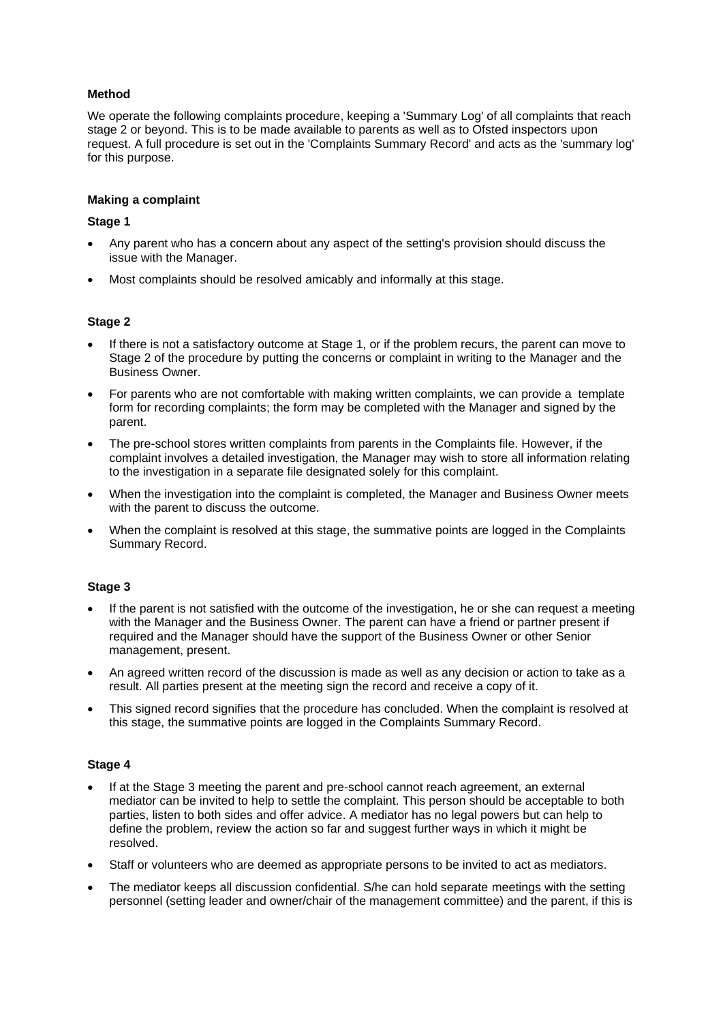# **Method**

We operate the following complaints procedure, keeping a 'Summary Log' of all complaints that reach stage 2 or beyond. This is to be made available to parents as well as to Ofsted inspectors upon request. A full procedure is set out in the 'Complaints Summary Record' and acts as the 'summary log' for this purpose.

## **Making a complaint**

## **Stage 1**

- Any parent who has a concern about any aspect of the setting's provision should discuss the issue with the Manager.
- Most complaints should be resolved amicably and informally at this stage.

## **Stage 2**

- If there is not a satisfactory outcome at Stage 1, or if the problem recurs, the parent can move to Stage 2 of the procedure by putting the concerns or complaint in writing to the Manager and the Business Owner.
- For parents who are not comfortable with making written complaints, we can provide a template form for recording complaints; the form may be completed with the Manager and signed by the parent.
- The pre-school stores written complaints from parents in the Complaints file. However, if the complaint involves a detailed investigation, the Manager may wish to store all information relating to the investigation in a separate file designated solely for this complaint.
- When the investigation into the complaint is completed, the Manager and Business Owner meets with the parent to discuss the outcome.
- When the complaint is resolved at this stage, the summative points are logged in the Complaints Summary Record.

# **Stage 3**

- If the parent is not satisfied with the outcome of the investigation, he or she can request a meeting with the Manager and the Business Owner. The parent can have a friend or partner present if required and the Manager should have the support of the Business Owner or other Senior management, present.
- An agreed written record of the discussion is made as well as any decision or action to take as a result. All parties present at the meeting sign the record and receive a copy of it.
- This signed record signifies that the procedure has concluded. When the complaint is resolved at this stage, the summative points are logged in the Complaints Summary Record.

#### **Stage 4**

- If at the Stage 3 meeting the parent and pre-school cannot reach agreement, an external mediator can be invited to help to settle the complaint. This person should be acceptable to both parties, listen to both sides and offer advice. A mediator has no legal powers but can help to define the problem, review the action so far and suggest further ways in which it might be resolved.
- Staff or volunteers who are deemed as appropriate persons to be invited to act as mediators.
- The mediator keeps all discussion confidential. S/he can hold separate meetings with the setting personnel (setting leader and owner/chair of the management committee) and the parent, if this is